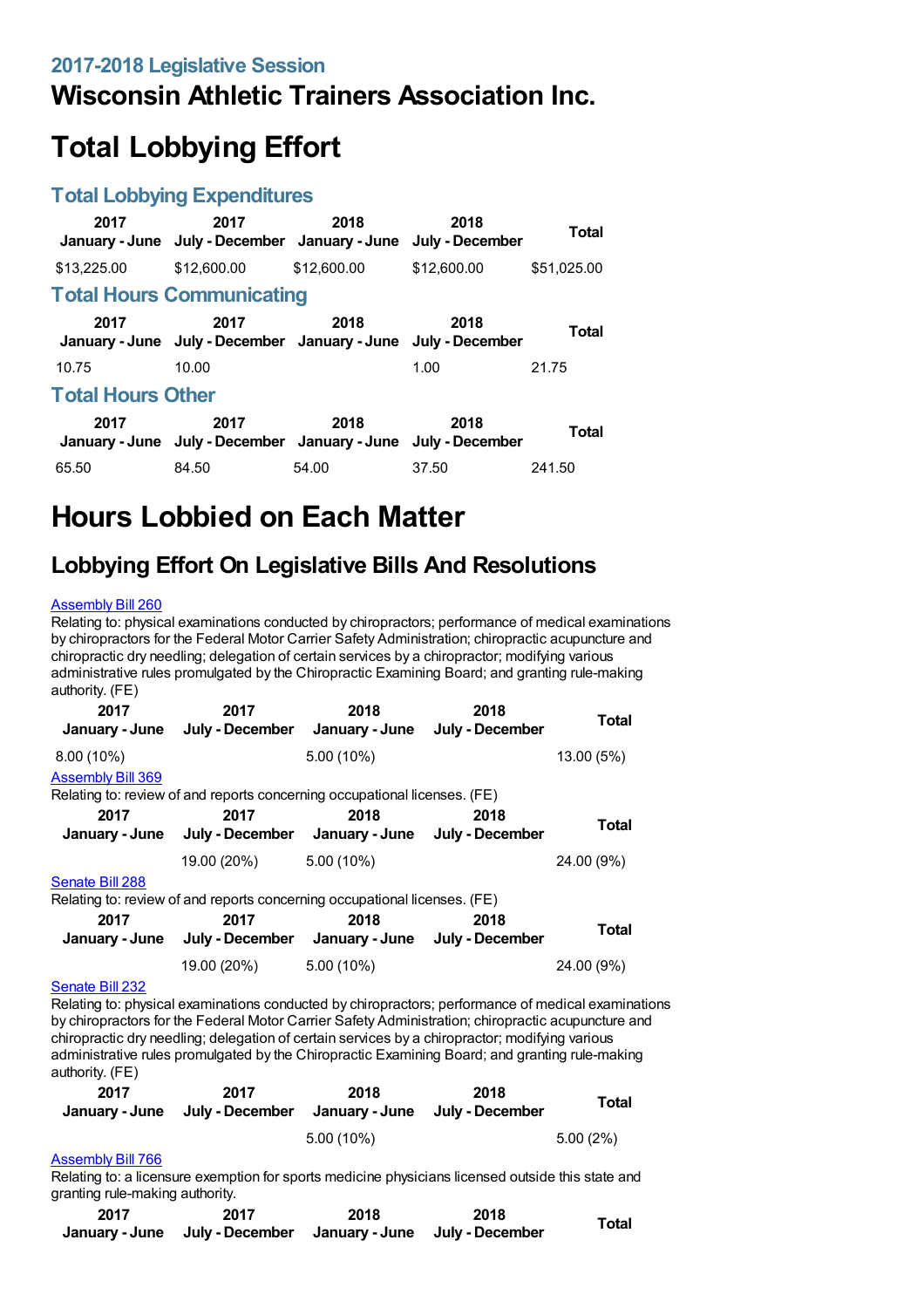## **Wisconsin Athletic Trainers Association Inc.**

# **Total Lobbying Effort**

#### **Total Lobbying Expenditures**

| 2017                     | 2017<br>January - June July - December January - June                 | 2018        | 2018<br>July - December | <b>Total</b> |
|--------------------------|-----------------------------------------------------------------------|-------------|-------------------------|--------------|
| \$13,225.00              | \$12,600.00                                                           | \$12,600.00 | \$12,600.00             | \$51,025.00  |
|                          | <b>Total Hours Communicating</b>                                      |             |                         |              |
| 2017                     | 2017<br>January - June July - December January - June July - December | 2018        | 2018                    | Total        |
| 10.75                    | 10.00                                                                 |             | 1.00                    | 21.75        |
| <b>Total Hours Other</b> |                                                                       |             |                         |              |
| 2017                     | 2017<br>January - June July - December January - June July - December | 2018        | 2018                    | <b>Total</b> |
| 65.50                    | 84.50                                                                 | 54.00       | 37.50                   | 241.50       |

## **Hours Lobbied on Each Matter**

### **Lobbying Effort On Legislative Bills And Resolutions**

#### [Assembly](https://lobbying.wi.gov/What/BillInformation/2017REG/Information/14250?tab=Efforts) Bill 260

Relating to: physical examinations conducted by chiropractors; performance of medical examinations by chiropractors for the Federal Motor Carrier Safety Administration; chiropractic acupuncture and chiropractic dry needling; delegation of certain services by a chiropractor; modifying various administrative rules promulgated by the Chiropractic Examining Board; and granting rule-making authority. (FE)

| 2017                     | 2017<br>January - June July - December January - June                                                                                                                                                    | 2018                                           | 2018<br>July - December | Total        |
|--------------------------|----------------------------------------------------------------------------------------------------------------------------------------------------------------------------------------------------------|------------------------------------------------|-------------------------|--------------|
| $8.00(10\%)$             |                                                                                                                                                                                                          | $5.00(10\%)$                                   |                         | 13.00 (5%)   |
| <b>Assembly Bill 369</b> |                                                                                                                                                                                                          |                                                |                         |              |
|                          | Relating to: review of and reports concerning occupational licenses. (FE)                                                                                                                                |                                                |                         |              |
| 2017                     | 2017<br>January - June July - December January - June July - December                                                                                                                                    | 2018                                           | 2018                    | Total        |
|                          | 19.00 (20%) 5.00 (10%)                                                                                                                                                                                   |                                                |                         | 24.00 (9%)   |
| Senate Bill 288          | Relating to: review of and reports concerning occupational licenses. (FE)                                                                                                                                |                                                |                         |              |
| 2017                     | 2017                                                                                                                                                                                                     | 2018                                           | 2018                    |              |
| January - June           |                                                                                                                                                                                                          | July - December January - June July - December |                         | <b>Total</b> |
|                          | 19.00 (20%)                                                                                                                                                                                              | $5.00(10\%)$                                   |                         | 24.00 (9%)   |
| Senate Bill 232          | Relating to: physical examinations conducted by chiropractors; performance of medical examinations<br>by chiropractors for the Eaderal Motor Carrier Safety Administration; chiropractic acupuncture and |                                                |                         |              |

by chiropractors for the Federal Motor Carrier Safety Administration; chiropractic acupuncture and chiropractic dry needling; delegation of certain services by a chiropractor; modifying various administrative rules promulgated by the Chiropractic Examining Board; and granting rule-making authority. (FE)

| 2017 | 2017<br>January - June July - December January - June | 2018       | 2018<br>July - December | Total       |
|------|-------------------------------------------------------|------------|-------------------------|-------------|
|      |                                                       | 5.00 (10%) |                         | $5.00(2\%)$ |

#### [Assembly](https://lobbying.wi.gov/What/BillInformation/2017REG/Information/15304?tab=Efforts) Bill 766

Relating to: a licensure exemption for sports medicine physicians licensed outside this state and granting rule-making authority.

| 2017 | 2017                                                          | 2018 | 2018 | <b>Total</b> |
|------|---------------------------------------------------------------|------|------|--------------|
|      | January - June July - December January - June July - December |      |      |              |